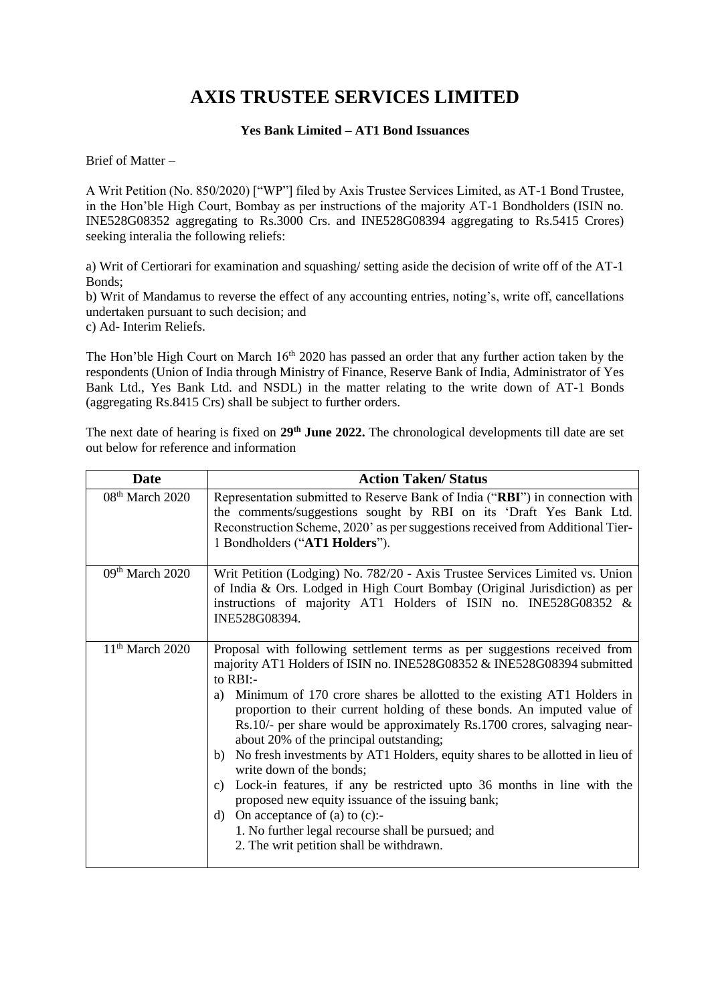## **AXIS TRUSTEE SERVICES LIMITED**

## **Yes Bank Limited – AT1 Bond Issuances**

Brief of Matter –

A Writ Petition (No. 850/2020) ["WP"] filed by Axis Trustee Services Limited, as AT-1 Bond Trustee, in the Hon'ble High Court, Bombay as per instructions of the majority AT-1 Bondholders (ISIN no. INE528G08352 aggregating to Rs.3000 Crs. and INE528G08394 aggregating to Rs.5415 Crores) seeking interalia the following reliefs:

a) Writ of Certiorari for examination and squashing/ setting aside the decision of write off of the AT-1 Bonds;

b) Writ of Mandamus to reverse the effect of any accounting entries, noting's, write off, cancellations undertaken pursuant to such decision; and c) Ad- Interim Reliefs.

The Hon'ble High Court on March 16<sup>th</sup> 2020 has passed an order that any further action taken by the respondents (Union of India through Ministry of Finance, Reserve Bank of India, Administrator of Yes Bank Ltd., Yes Bank Ltd. and NSDL) in the matter relating to the write down of AT-1 Bonds (aggregating Rs.8415 Crs) shall be subject to further orders.

The next date of hearing is fixed on **29th June 2022.** The chronological developments till date are set out below for reference and information

| <b>Date</b>                 | <b>Action Taken/Status</b>                                                                                                                                                                                                                                                                                                                                                                                                                                                                                                                                                                                                                                                                                                                                                                                                                             |
|-----------------------------|--------------------------------------------------------------------------------------------------------------------------------------------------------------------------------------------------------------------------------------------------------------------------------------------------------------------------------------------------------------------------------------------------------------------------------------------------------------------------------------------------------------------------------------------------------------------------------------------------------------------------------------------------------------------------------------------------------------------------------------------------------------------------------------------------------------------------------------------------------|
| 08 <sup>th</sup> March 2020 | Representation submitted to Reserve Bank of India ("RBI") in connection with<br>the comments/suggestions sought by RBI on its 'Draft Yes Bank Ltd.<br>Reconstruction Scheme, 2020' as per suggestions received from Additional Tier-<br>1 Bondholders ("AT1 Holders").                                                                                                                                                                                                                                                                                                                                                                                                                                                                                                                                                                                 |
| 09th March 2020             | Writ Petition (Lodging) No. 782/20 - Axis Trustee Services Limited vs. Union<br>of India & Ors. Lodged in High Court Bombay (Original Jurisdiction) as per<br>instructions of majority AT1 Holders of ISIN no. INE528G08352 &<br>INE528G08394.                                                                                                                                                                                                                                                                                                                                                                                                                                                                                                                                                                                                         |
| $11th$ March 2020           | Proposal with following settlement terms as per suggestions received from<br>majority AT1 Holders of ISIN no. INE528G08352 & INE528G08394 submitted<br>to RBI:-<br>Minimum of 170 crore shares be allotted to the existing AT1 Holders in<br>a)<br>proportion to their current holding of these bonds. An imputed value of<br>Rs.10/- per share would be approximately Rs.1700 crores, salvaging near-<br>about 20% of the principal outstanding;<br>No fresh investments by AT1 Holders, equity shares to be allotted in lieu of<br>b)<br>write down of the bonds;<br>Lock-in features, if any be restricted upto 36 months in line with the<br>c)<br>proposed new equity issuance of the issuing bank;<br>On acceptance of $(a)$ to $(c)$ :-<br>d)<br>1. No further legal recourse shall be pursued; and<br>2. The writ petition shall be withdrawn. |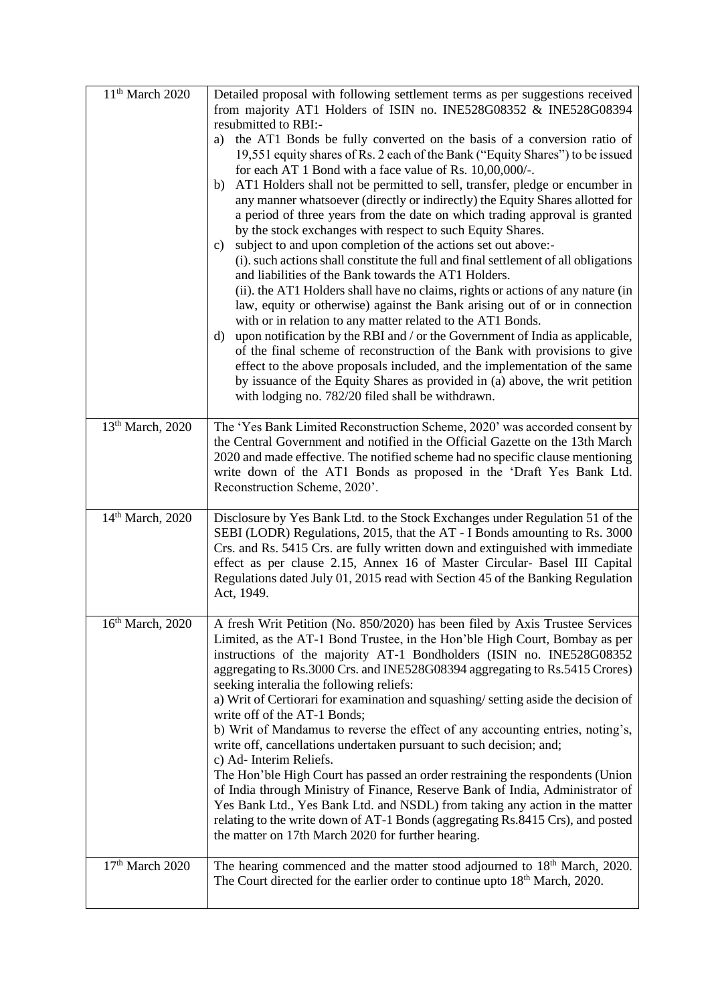| 11 <sup>th</sup> March 2020  | Detailed proposal with following settlement terms as per suggestions received<br>from majority AT1 Holders of ISIN no. INE528G08352 & INE528G08394<br>resubmitted to RBI:-<br>a) the AT1 Bonds be fully converted on the basis of a conversion ratio of<br>19,551 equity shares of Rs. 2 each of the Bank ("Equity Shares") to be issued<br>for each AT 1 Bond with a face value of Rs. 10,00,000/-.<br>AT1 Holders shall not be permitted to sell, transfer, pledge or encumber in<br>b)<br>any manner whatsoever (directly or indirectly) the Equity Shares allotted for<br>a period of three years from the date on which trading approval is granted<br>by the stock exchanges with respect to such Equity Shares.<br>subject to and upon completion of the actions set out above:-<br>c)<br>(i). such actions shall constitute the full and final settlement of all obligations<br>and liabilities of the Bank towards the AT1 Holders.<br>(ii). the AT1 Holders shall have no claims, rights or actions of any nature (in<br>law, equity or otherwise) against the Bank arising out of or in connection<br>with or in relation to any matter related to the AT1 Bonds.<br>upon notification by the RBI and / or the Government of India as applicable,<br>d)<br>of the final scheme of reconstruction of the Bank with provisions to give<br>effect to the above proposals included, and the implementation of the same |
|------------------------------|-------------------------------------------------------------------------------------------------------------------------------------------------------------------------------------------------------------------------------------------------------------------------------------------------------------------------------------------------------------------------------------------------------------------------------------------------------------------------------------------------------------------------------------------------------------------------------------------------------------------------------------------------------------------------------------------------------------------------------------------------------------------------------------------------------------------------------------------------------------------------------------------------------------------------------------------------------------------------------------------------------------------------------------------------------------------------------------------------------------------------------------------------------------------------------------------------------------------------------------------------------------------------------------------------------------------------------------------------------------------------------------------------------------------------------|
|                              | by issuance of the Equity Shares as provided in (a) above, the writ petition<br>with lodging no. 782/20 filed shall be withdrawn.                                                                                                                                                                                                                                                                                                                                                                                                                                                                                                                                                                                                                                                                                                                                                                                                                                                                                                                                                                                                                                                                                                                                                                                                                                                                                             |
| 13th March, 2020             | The 'Yes Bank Limited Reconstruction Scheme, 2020' was accorded consent by<br>the Central Government and notified in the Official Gazette on the 13th March<br>2020 and made effective. The notified scheme had no specific clause mentioning<br>write down of the AT1 Bonds as proposed in the 'Draft Yes Bank Ltd.<br>Reconstruction Scheme, 2020'.                                                                                                                                                                                                                                                                                                                                                                                                                                                                                                                                                                                                                                                                                                                                                                                                                                                                                                                                                                                                                                                                         |
| 14 <sup>th</sup> March, 2020 | Disclosure by Yes Bank Ltd. to the Stock Exchanges under Regulation 51 of the<br>SEBI (LODR) Regulations, 2015, that the AT - I Bonds amounting to Rs. 3000<br>Crs. and Rs. 5415 Crs. are fully written down and extinguished with immediate<br>effect as per clause 2.15, Annex 16 of Master Circular- Basel III Capital<br>Regulations dated July 01, 2015 read with Section 45 of the Banking Regulation<br>Act, 1949.                                                                                                                                                                                                                                                                                                                                                                                                                                                                                                                                                                                                                                                                                                                                                                                                                                                                                                                                                                                                     |
| 16 <sup>th</sup> March, 2020 | A fresh Writ Petition (No. 850/2020) has been filed by Axis Trustee Services<br>Limited, as the AT-1 Bond Trustee, in the Hon'ble High Court, Bombay as per<br>instructions of the majority AT-1 Bondholders (ISIN no. INE528G08352<br>aggregating to Rs.3000 Crs. and INE528G08394 aggregating to Rs.5415 Crores)<br>seeking interalia the following reliefs:<br>a) Writ of Certiorari for examination and squashing/setting aside the decision of<br>write off of the AT-1 Bonds;<br>b) Writ of Mandamus to reverse the effect of any accounting entries, noting's,<br>write off, cancellations undertaken pursuant to such decision; and;<br>c) Ad- Interim Reliefs.<br>The Hon'ble High Court has passed an order restraining the respondents (Union<br>of India through Ministry of Finance, Reserve Bank of India, Administrator of<br>Yes Bank Ltd., Yes Bank Ltd. and NSDL) from taking any action in the matter<br>relating to the write down of AT-1 Bonds (aggregating Rs.8415 Crs), and posted<br>the matter on 17th March 2020 for further hearing.                                                                                                                                                                                                                                                                                                                                                              |
| 17 <sup>th</sup> March 2020  | The hearing commenced and the matter stood adjourned to 18 <sup>th</sup> March, 2020.<br>The Court directed for the earlier order to continue upto 18 <sup>th</sup> March, 2020.                                                                                                                                                                                                                                                                                                                                                                                                                                                                                                                                                                                                                                                                                                                                                                                                                                                                                                                                                                                                                                                                                                                                                                                                                                              |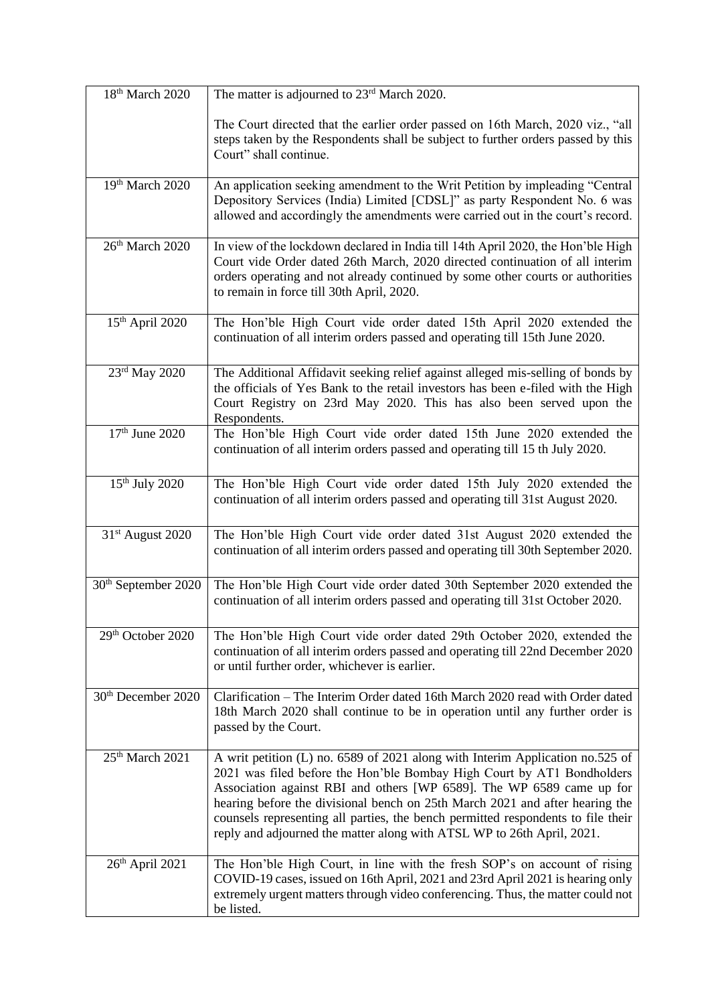| 18 <sup>th</sup> March 2020     | The matter is adjourned to 23 <sup>rd</sup> March 2020.                                                                                                                                                                                                                                                                                                                                                                                                                        |
|---------------------------------|--------------------------------------------------------------------------------------------------------------------------------------------------------------------------------------------------------------------------------------------------------------------------------------------------------------------------------------------------------------------------------------------------------------------------------------------------------------------------------|
|                                 | The Court directed that the earlier order passed on 16th March, 2020 viz., "all<br>steps taken by the Respondents shall be subject to further orders passed by this<br>Court" shall continue.                                                                                                                                                                                                                                                                                  |
| 19th March 2020                 | An application seeking amendment to the Writ Petition by impleading "Central<br>Depository Services (India) Limited [CDSL]" as party Respondent No. 6 was<br>allowed and accordingly the amendments were carried out in the court's record.                                                                                                                                                                                                                                    |
| 26 <sup>th</sup> March 2020     | In view of the lockdown declared in India till 14th April 2020, the Hon'ble High<br>Court vide Order dated 26th March, 2020 directed continuation of all interim<br>orders operating and not already continued by some other courts or authorities<br>to remain in force till 30th April, 2020.                                                                                                                                                                                |
| 15 <sup>th</sup> April 2020     | The Hon'ble High Court vide order dated 15th April 2020 extended the<br>continuation of all interim orders passed and operating till 15th June 2020.                                                                                                                                                                                                                                                                                                                           |
| 23rd May 2020                   | The Additional Affidavit seeking relief against alleged mis-selling of bonds by<br>the officials of Yes Bank to the retail investors has been e-filed with the High<br>Court Registry on 23rd May 2020. This has also been served upon the<br>Respondents.                                                                                                                                                                                                                     |
| 17 <sup>th</sup> June 2020      | The Hon'ble High Court vide order dated 15th June 2020 extended the<br>continuation of all interim orders passed and operating till 15 th July 2020.                                                                                                                                                                                                                                                                                                                           |
| 15 <sup>th</sup> July 2020      | The Hon'ble High Court vide order dated 15th July 2020 extended the<br>continuation of all interim orders passed and operating till 31st August 2020.                                                                                                                                                                                                                                                                                                                          |
| 31 <sup>st</sup> August 2020    | The Hon'ble High Court vide order dated 31st August 2020 extended the<br>continuation of all interim orders passed and operating till 30th September 2020.                                                                                                                                                                                                                                                                                                                     |
| 30 <sup>th</sup> September 2020 | The Hon'ble High Court vide order dated 30th September 2020 extended the<br>continuation of all interim orders passed and operating till 31st October 2020.                                                                                                                                                                                                                                                                                                                    |
| 29th October 2020               | The Hon'ble High Court vide order dated 29th October 2020, extended the<br>continuation of all interim orders passed and operating till 22nd December 2020<br>or until further order, whichever is earlier.                                                                                                                                                                                                                                                                    |
| 30 <sup>th</sup> December 2020  | Clarification – The Interim Order dated 16th March 2020 read with Order dated<br>18th March 2020 shall continue to be in operation until any further order is<br>passed by the Court.                                                                                                                                                                                                                                                                                          |
| 25 <sup>th</sup> March 2021     | A writ petition (L) no. 6589 of 2021 along with Interim Application no.525 of<br>2021 was filed before the Hon'ble Bombay High Court by AT1 Bondholders<br>Association against RBI and others [WP 6589]. The WP 6589 came up for<br>hearing before the divisional bench on 25th March 2021 and after hearing the<br>counsels representing all parties, the bench permitted respondents to file their<br>reply and adjourned the matter along with ATSL WP to 26th April, 2021. |
| 26 <sup>th</sup> April 2021     | The Hon'ble High Court, in line with the fresh SOP's on account of rising<br>COVID-19 cases, issued on 16th April, 2021 and 23rd April 2021 is hearing only<br>extremely urgent matters through video conferencing. Thus, the matter could not<br>be listed.                                                                                                                                                                                                                   |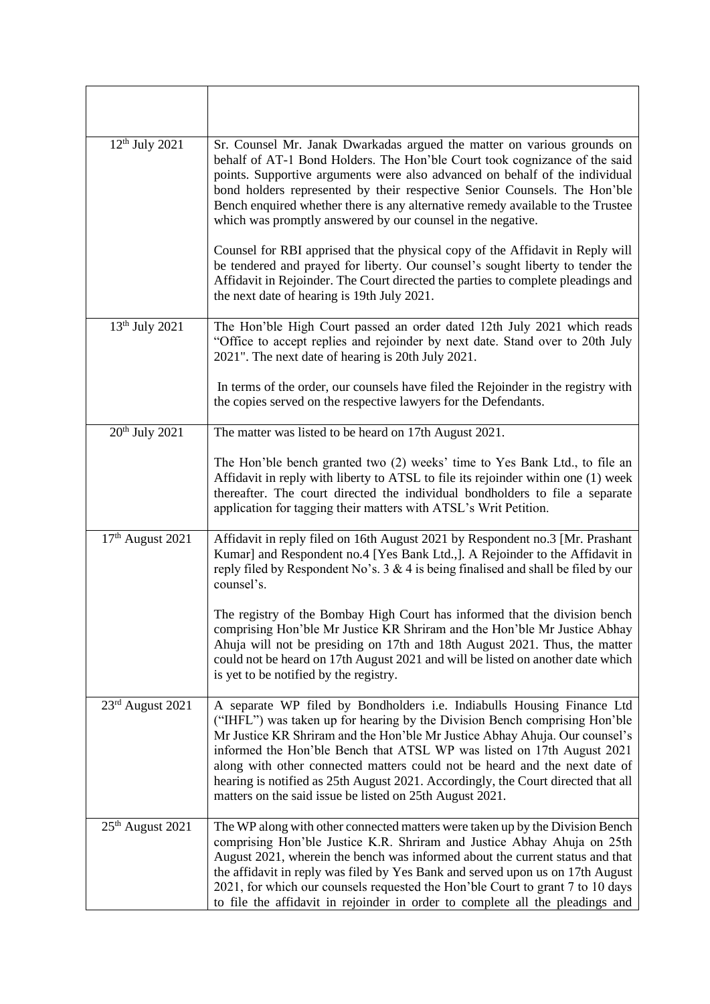| $12^{th}$ July 2021          | Sr. Counsel Mr. Janak Dwarkadas argued the matter on various grounds on<br>behalf of AT-1 Bond Holders. The Hon'ble Court took cognizance of the said<br>points. Supportive arguments were also advanced on behalf of the individual<br>bond holders represented by their respective Senior Counsels. The Hon'ble<br>Bench enquired whether there is any alternative remedy available to the Trustee<br>which was promptly answered by our counsel in the negative.                                                                          |
|------------------------------|----------------------------------------------------------------------------------------------------------------------------------------------------------------------------------------------------------------------------------------------------------------------------------------------------------------------------------------------------------------------------------------------------------------------------------------------------------------------------------------------------------------------------------------------|
|                              | Counsel for RBI apprised that the physical copy of the Affidavit in Reply will<br>be tendered and prayed for liberty. Our counsel's sought liberty to tender the<br>Affidavit in Rejoinder. The Court directed the parties to complete pleadings and<br>the next date of hearing is 19th July 2021.                                                                                                                                                                                                                                          |
| $13th$ July 2021             | The Hon'ble High Court passed an order dated 12th July 2021 which reads<br>"Office to accept replies and rejoinder by next date. Stand over to 20th July<br>2021". The next date of hearing is 20th July 2021.                                                                                                                                                                                                                                                                                                                               |
|                              | In terms of the order, our counsels have filed the Rejoinder in the registry with<br>the copies served on the respective lawyers for the Defendants.                                                                                                                                                                                                                                                                                                                                                                                         |
| $20th$ July 2021             | The matter was listed to be heard on 17th August 2021.                                                                                                                                                                                                                                                                                                                                                                                                                                                                                       |
|                              | The Hon'ble bench granted two (2) weeks' time to Yes Bank Ltd., to file an<br>Affidavit in reply with liberty to ATSL to file its rejoinder within one (1) week<br>thereafter. The court directed the individual bondholders to file a separate<br>application for tagging their matters with ATSL's Writ Petition.                                                                                                                                                                                                                          |
| 17 <sup>th</sup> August 2021 | Affidavit in reply filed on 16th August 2021 by Respondent no.3 [Mr. Prashant<br>Kumar] and Respondent no.4 [Yes Bank Ltd.,]. A Rejoinder to the Affidavit in<br>reply filed by Respondent No's. $3 \& 4$ is being finalised and shall be filed by our<br>counsel's.                                                                                                                                                                                                                                                                         |
|                              | The registry of the Bombay High Court has informed that the division bench<br>comprising Hon'ble Mr Justice KR Shriram and the Hon'ble Mr Justice Abhay<br>Ahuja will not be presiding on 17th and 18th August 2021. Thus, the matter<br>could not be heard on 17th August 2021 and will be listed on another date which<br>is yet to be notified by the registry.                                                                                                                                                                           |
| 23rd August 2021             | A separate WP filed by Bondholders i.e. Indiabulls Housing Finance Ltd<br>("IHFL") was taken up for hearing by the Division Bench comprising Hon'ble<br>Mr Justice KR Shriram and the Hon'ble Mr Justice Abhay Ahuja. Our counsel's<br>informed the Hon'ble Bench that ATSL WP was listed on 17th August 2021<br>along with other connected matters could not be heard and the next date of<br>hearing is notified as 25th August 2021. Accordingly, the Court directed that all<br>matters on the said issue be listed on 25th August 2021. |
| $25th$ August 2021           | The WP along with other connected matters were taken up by the Division Bench<br>comprising Hon'ble Justice K.R. Shriram and Justice Abhay Ahuja on 25th<br>August 2021, wherein the bench was informed about the current status and that<br>the affidavit in reply was filed by Yes Bank and served upon us on 17th August<br>2021, for which our counsels requested the Hon'ble Court to grant 7 to 10 days<br>to file the affidavit in rejoinder in order to complete all the pleadings and                                               |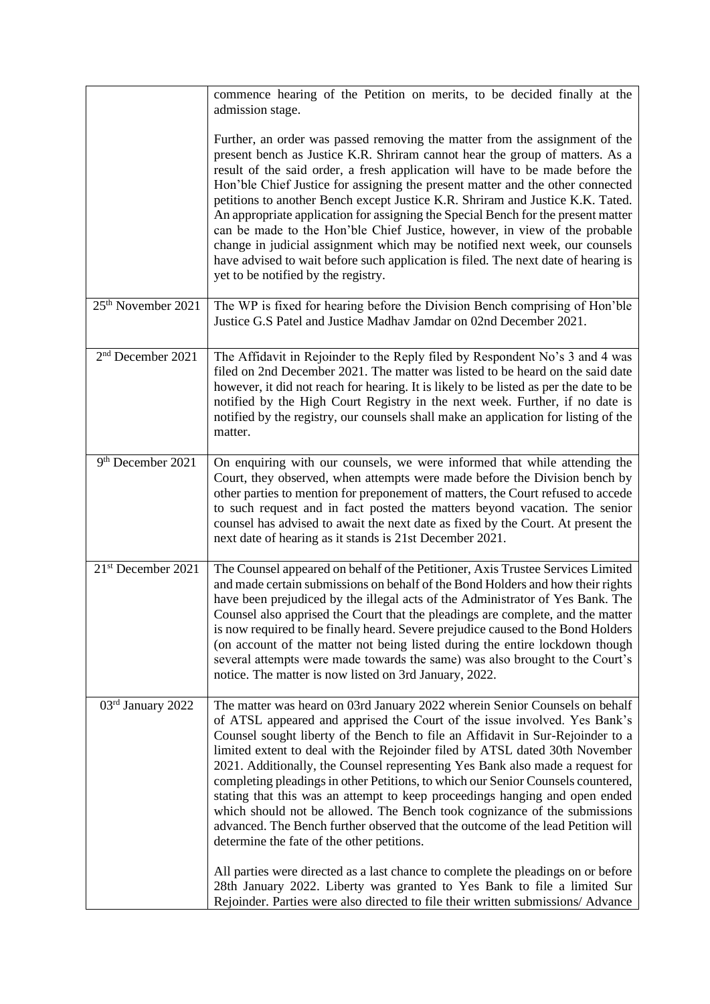|                                | commence hearing of the Petition on merits, to be decided finally at the<br>admission stage.                                                                                                                                                                                                                                                                                                                                                                                                                                                                                                                                                                                                                                                                                                    |
|--------------------------------|-------------------------------------------------------------------------------------------------------------------------------------------------------------------------------------------------------------------------------------------------------------------------------------------------------------------------------------------------------------------------------------------------------------------------------------------------------------------------------------------------------------------------------------------------------------------------------------------------------------------------------------------------------------------------------------------------------------------------------------------------------------------------------------------------|
|                                | Further, an order was passed removing the matter from the assignment of the<br>present bench as Justice K.R. Shriram cannot hear the group of matters. As a<br>result of the said order, a fresh application will have to be made before the<br>Hon'ble Chief Justice for assigning the present matter and the other connected<br>petitions to another Bench except Justice K.R. Shriram and Justice K.K. Tated.<br>An appropriate application for assigning the Special Bench for the present matter<br>can be made to the Hon'ble Chief Justice, however, in view of the probable<br>change in judicial assignment which may be notified next week, our counsels<br>have advised to wait before such application is filed. The next date of hearing is<br>yet to be notified by the registry. |
| 25 <sup>th</sup> November 2021 | The WP is fixed for hearing before the Division Bench comprising of Hon'ble<br>Justice G.S Patel and Justice Madhav Jamdar on 02nd December 2021.                                                                                                                                                                                                                                                                                                                                                                                                                                                                                                                                                                                                                                               |
| 2 <sup>nd</sup> December 2021  | The Affidavit in Rejoinder to the Reply filed by Respondent No's 3 and 4 was<br>filed on 2nd December 2021. The matter was listed to be heard on the said date<br>however, it did not reach for hearing. It is likely to be listed as per the date to be<br>notified by the High Court Registry in the next week. Further, if no date is<br>notified by the registry, our counsels shall make an application for listing of the<br>matter.                                                                                                                                                                                                                                                                                                                                                      |
| 9 <sup>th</sup> December 2021  | On enquiring with our counsels, we were informed that while attending the<br>Court, they observed, when attempts were made before the Division bench by<br>other parties to mention for preponement of matters, the Court refused to accede<br>to such request and in fact posted the matters beyond vacation. The senior<br>counsel has advised to await the next date as fixed by the Court. At present the<br>next date of hearing as it stands is 21st December 2021.                                                                                                                                                                                                                                                                                                                       |
| 21 <sup>st</sup> December 2021 | The Counsel appeared on behalf of the Petitioner, Axis Trustee Services Limited<br>and made certain submissions on behalf of the Bond Holders and how their rights<br>have been prejudiced by the illegal acts of the Administrator of Yes Bank. The<br>Counsel also apprised the Court that the pleadings are complete, and the matter<br>is now required to be finally heard. Severe prejudice caused to the Bond Holders<br>(on account of the matter not being listed during the entire lockdown though<br>several attempts were made towards the same) was also brought to the Court's<br>notice. The matter is now listed on 3rd January, 2022.                                                                                                                                           |
| 03rd January 2022              | The matter was heard on 03rd January 2022 wherein Senior Counsels on behalf<br>of ATSL appeared and apprised the Court of the issue involved. Yes Bank's<br>Counsel sought liberty of the Bench to file an Affidavit in Sur-Rejoinder to a<br>limited extent to deal with the Rejoinder filed by ATSL dated 30th November<br>2021. Additionally, the Counsel representing Yes Bank also made a request for<br>completing pleadings in other Petitions, to which our Senior Counsels countered,<br>stating that this was an attempt to keep proceedings hanging and open ended<br>which should not be allowed. The Bench took cognizance of the submissions<br>advanced. The Bench further observed that the outcome of the lead Petition will<br>determine the fate of the other petitions.     |
|                                | All parties were directed as a last chance to complete the pleadings on or before<br>28th January 2022. Liberty was granted to Yes Bank to file a limited Sur<br>Rejoinder. Parties were also directed to file their written submissions/ Advance                                                                                                                                                                                                                                                                                                                                                                                                                                                                                                                                               |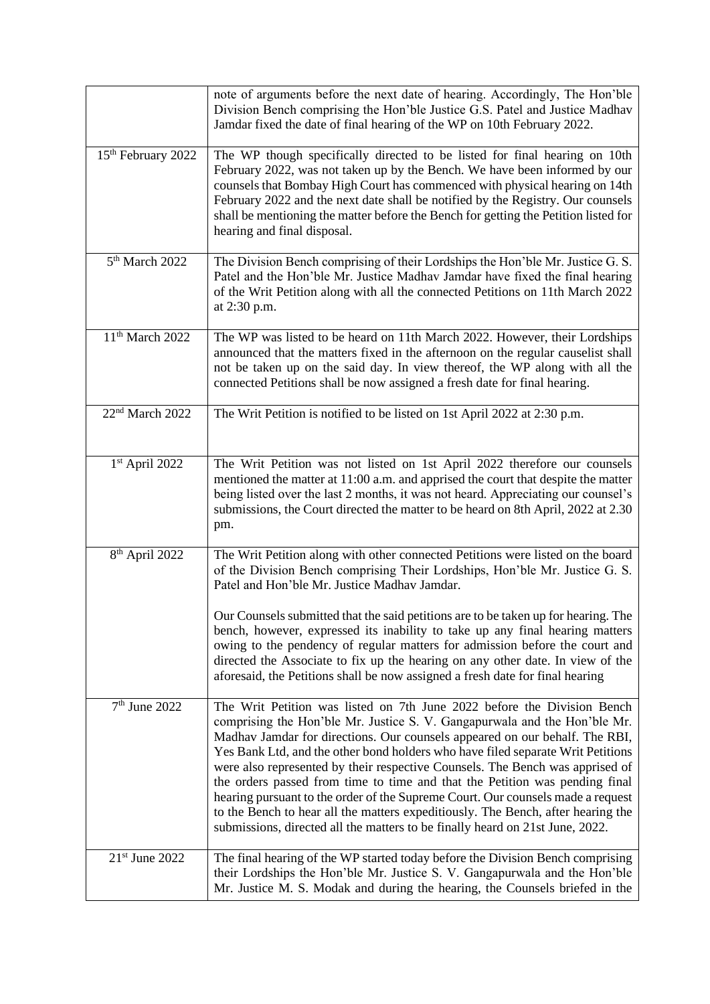|                                | note of arguments before the next date of hearing. Accordingly, The Hon'ble<br>Division Bench comprising the Hon'ble Justice G.S. Patel and Justice Madhav<br>Jamdar fixed the date of final hearing of the WP on 10th February 2022.                                                                                                                                                                                                                                                                                                                                                                                                                                                                                                          |
|--------------------------------|------------------------------------------------------------------------------------------------------------------------------------------------------------------------------------------------------------------------------------------------------------------------------------------------------------------------------------------------------------------------------------------------------------------------------------------------------------------------------------------------------------------------------------------------------------------------------------------------------------------------------------------------------------------------------------------------------------------------------------------------|
| 15 <sup>th</sup> February 2022 | The WP though specifically directed to be listed for final hearing on 10th<br>February 2022, was not taken up by the Bench. We have been informed by our<br>counsels that Bombay High Court has commenced with physical hearing on 14th<br>February 2022 and the next date shall be notified by the Registry. Our counsels<br>shall be mentioning the matter before the Bench for getting the Petition listed for<br>hearing and final disposal.                                                                                                                                                                                                                                                                                               |
| 5 <sup>th</sup> March 2022     | The Division Bench comprising of their Lordships the Hon'ble Mr. Justice G. S.<br>Patel and the Hon'ble Mr. Justice Madhav Jamdar have fixed the final hearing<br>of the Writ Petition along with all the connected Petitions on 11th March 2022<br>at 2:30 p.m.                                                                                                                                                                                                                                                                                                                                                                                                                                                                               |
| 11 <sup>th</sup> March 2022    | The WP was listed to be heard on 11th March 2022. However, their Lordships<br>announced that the matters fixed in the afternoon on the regular causelist shall<br>not be taken up on the said day. In view thereof, the WP along with all the<br>connected Petitions shall be now assigned a fresh date for final hearing.                                                                                                                                                                                                                                                                                                                                                                                                                     |
| 22 <sup>nd</sup> March 2022    | The Writ Petition is notified to be listed on 1st April 2022 at 2:30 p.m.                                                                                                                                                                                                                                                                                                                                                                                                                                                                                                                                                                                                                                                                      |
| 1 <sup>st</sup> April 2022     | The Writ Petition was not listed on 1st April 2022 therefore our counsels<br>mentioned the matter at 11:00 a.m. and apprised the court that despite the matter<br>being listed over the last 2 months, it was not heard. Appreciating our counsel's<br>submissions, the Court directed the matter to be heard on 8th April, 2022 at 2.30<br>pm.                                                                                                                                                                                                                                                                                                                                                                                                |
| 8 <sup>th</sup> April 2022     | The Writ Petition along with other connected Petitions were listed on the board<br>of the Division Bench comprising Their Lordships, Hon'ble Mr. Justice G. S.<br>Patel and Hon'ble Mr. Justice Madhav Jamdar.                                                                                                                                                                                                                                                                                                                                                                                                                                                                                                                                 |
|                                | Our Counsels submitted that the said petitions are to be taken up for hearing. The<br>bench, however, expressed its inability to take up any final hearing matters<br>owing to the pendency of regular matters for admission before the court and<br>directed the Associate to fix up the hearing on any other date. In view of the<br>aforesaid, the Petitions shall be now assigned a fresh date for final hearing                                                                                                                                                                                                                                                                                                                           |
| 7 <sup>th</sup> June 2022      | The Writ Petition was listed on 7th June 2022 before the Division Bench<br>comprising the Hon'ble Mr. Justice S. V. Gangapurwala and the Hon'ble Mr.<br>Madhav Jamdar for directions. Our counsels appeared on our behalf. The RBI,<br>Yes Bank Ltd, and the other bond holders who have filed separate Writ Petitions<br>were also represented by their respective Counsels. The Bench was apprised of<br>the orders passed from time to time and that the Petition was pending final<br>hearing pursuant to the order of the Supreme Court. Our counsels made a request<br>to the Bench to hear all the matters expeditiously. The Bench, after hearing the<br>submissions, directed all the matters to be finally heard on 21st June, 2022. |
| $21st$ June 2022               | The final hearing of the WP started today before the Division Bench comprising<br>their Lordships the Hon'ble Mr. Justice S. V. Gangapurwala and the Hon'ble<br>Mr. Justice M. S. Modak and during the hearing, the Counsels briefed in the                                                                                                                                                                                                                                                                                                                                                                                                                                                                                                    |